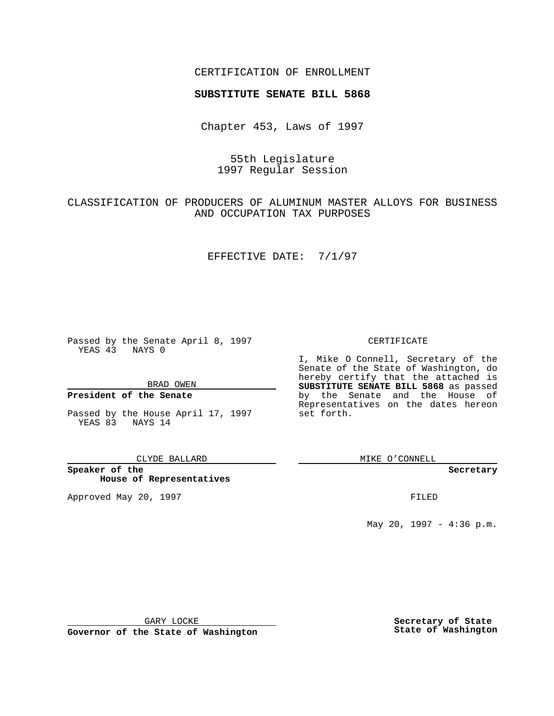### CERTIFICATION OF ENROLLMENT

# **SUBSTITUTE SENATE BILL 5868**

Chapter 453, Laws of 1997

# 55th Legislature 1997 Regular Session

# CLASSIFICATION OF PRODUCERS OF ALUMINUM MASTER ALLOYS FOR BUSINESS AND OCCUPATION TAX PURPOSES

#### EFFECTIVE DATE: 7/1/97

Passed by the Senate April 8, 1997 YEAS 43 NAYS 0

BRAD OWEN

### **President of the Senate**

Passed by the House April 17, 1997 YEAS 83 NAYS 14

#### CLYDE BALLARD

**Speaker of the House of Representatives**

Approved May 20, 1997 **FILED** 

### CERTIFICATE

I, Mike O Connell, Secretary of the Senate of the State of Washington, do hereby certify that the attached is **SUBSTITUTE SENATE BILL 5868** as passed by the Senate and the House of Representatives on the dates hereon set forth.

MIKE O'CONNELL

#### **Secretary**

May 20, 1997 - 4:36 p.m.

GARY LOCKE

**Governor of the State of Washington**

**Secretary of State State of Washington**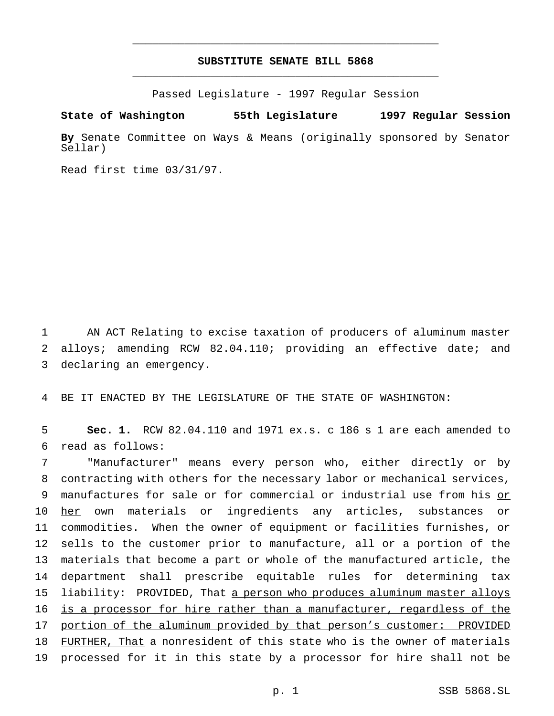## **SUBSTITUTE SENATE BILL 5868** \_\_\_\_\_\_\_\_\_\_\_\_\_\_\_\_\_\_\_\_\_\_\_\_\_\_\_\_\_\_\_\_\_\_\_\_\_\_\_\_\_\_\_\_\_\_\_

\_\_\_\_\_\_\_\_\_\_\_\_\_\_\_\_\_\_\_\_\_\_\_\_\_\_\_\_\_\_\_\_\_\_\_\_\_\_\_\_\_\_\_\_\_\_\_

Passed Legislature - 1997 Regular Session

**State of Washington 55th Legislature 1997 Regular Session**

**By** Senate Committee on Ways & Means (originally sponsored by Senator Sellar)

Read first time 03/31/97.

1 AN ACT Relating to excise taxation of producers of aluminum master 2 alloys; amending RCW 82.04.110; providing an effective date; and 3 declaring an emergency.

4 BE IT ENACTED BY THE LEGISLATURE OF THE STATE OF WASHINGTON:

5 **Sec. 1.** RCW 82.04.110 and 1971 ex.s. c 186 s 1 are each amended to 6 read as follows:

 "Manufacturer" means every person who, either directly or by contracting with others for the necessary labor or mechanical services, manufactures for sale or for commercial or industrial use from his or 10 her own materials or ingredients any articles, substances or commodities. When the owner of equipment or facilities furnishes, or sells to the customer prior to manufacture, all or a portion of the materials that become a part or whole of the manufactured article, the department shall prescribe equitable rules for determining tax 15 liability: PROVIDED, That a person who produces aluminum master alloys is a processor for hire rather than a manufacturer, regardless of the portion of the aluminum provided by that person's customer: PROVIDED 18 FURTHER, That a nonresident of this state who is the owner of materials processed for it in this state by a processor for hire shall not be